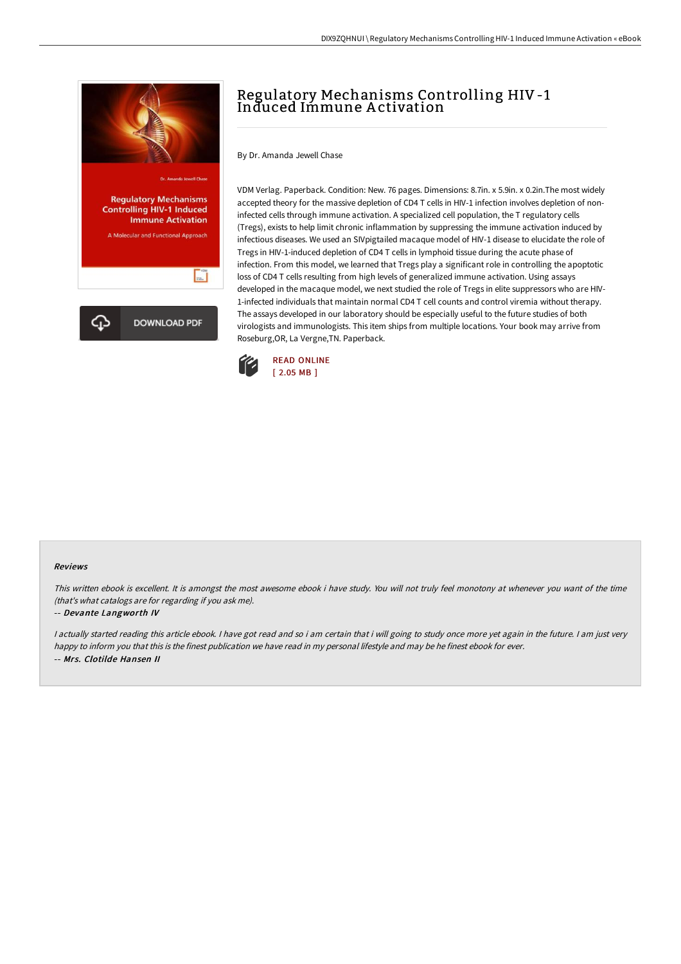

# Regulatory Mechanisms Controlling HIV-1 Induced Immune A ctivation

By Dr. Amanda Jewell Chase

VDM Verlag. Paperback. Condition: New. 76 pages. Dimensions: 8.7in. x 5.9in. x 0.2in.The most widely accepted theory for the massive depletion of CD4 T cells in HIV-1 infection involves depletion of noninfected cells through immune activation. A specialized cell population, the T regulatory cells (Tregs), exists to help limit chronic inflammation by suppressing the immune activation induced by infectious diseases. We used an SIVpigtailed macaque model of HIV-1 disease to elucidate the role of Tregs in HIV-1-induced depletion of CD4 T cells in lymphoid tissue during the acute phase of infection. From this model, we learned that Tregs play a significant role in controlling the apoptotic loss of CD4 T cells resulting from high levels of generalized immune activation. Using assays developed in the macaque model, we next studied the role of Tregs in elite suppressors who are HIV-1-infected individuals that maintain normal CD4 T cell counts and control viremia without therapy. The assays developed in our laboratory should be especially useful to the future studies of both virologists and immunologists. This item ships from multiple locations. Your book may arrive from Roseburg,OR, La Vergne,TN. Paperback.



#### Reviews

This written ebook is excellent. It is amongst the most awesome ebook i have study. You will not truly feel monotony at whenever you want of the time (that's what catalogs are for regarding if you ask me).

#### -- Devante Langworth IV

<sup>I</sup> actually started reading this article ebook. <sup>I</sup> have got read and so i am certain that i will going to study once more yet again in the future. <sup>I</sup> am just very happy to inform you that this is the finest publication we have read in my personal lifestyle and may be he finest ebook for ever. -- Mrs. Clotilde Hansen II